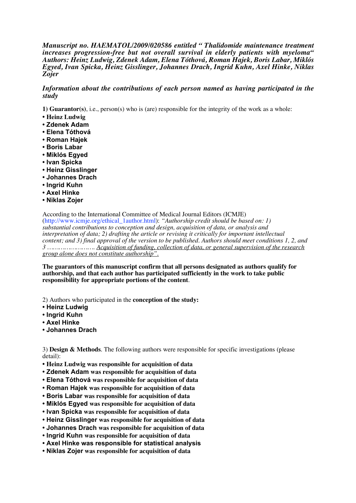*Manuscript no. HAEMATOL/2009/020586 entitled " Thalidomide maintenance treatment increases progression-free but not overall survival in elderly patients with myeloma" Authors: Heinz Ludwig, Zdenek Adam, Elena Tóthová, Roman Hajek, Boris Labar, Miklós Egyed, Ivan Spicka, Heinz Gisslinger, Johannes Drach, Ingrid Kuhn, Axel Hinke, Niklas Zojer*

## *Information about the contributions of each person named as having participated in the study*

**1) Guarantor(s)**, i.e., person(s) who is (are) responsible for the integrity of the work as a whole:

- **Heinz Ludwig**
- **Zdenek Adam**
- **Elena Tóthová**
- **Roman Hajek**
- **Boris Labar**
- **Miklós Egyed**
- **Ivan Spicka**
- **Heinz Gisslinger**
- **Johannes Drach**
- **Ingrid Kuhn**
- **Axel Hinke**
- **Niklas Zojer**

According to the International Committee of Medical Journal Editors (ICMJE) (http://www.icmje.org/ethical\_1author.html): *"Authorship credit should be based on: 1) substantial contributions to conception and design, acquisition of data, or analysis and interpretation of data; 2) drafting the article or revising it critically for important intellectual content; and 3) final approval of the version to be published. Authors should meet conditions 1, 2, and 3 ……………………. Acquisition of funding, collection of data, or general supervision of the research group alone does not constitute authorship".*

**The guarantors of this manuscript confirm that all persons designated as authors qualify for authorship, and that each author has participated sufficiently in the work to take public responsibility for appropriate portions of the content**.

2) Authors who participated in the **conception of the study:**

- **Heinz Ludwig**
- **Ingrid Kuhn**
- **Axel Hinke**
- **Johannes Drach**

3) **Design & Methods**. The following authors were responsible for specific investigations (please detail):

- **Heinz Ludwig was responsible for acquisition of data**
- **Zdenek Adam was responsible for acquisition of data**
- **Elena Tóthová was responsible for acquisition of data**
- **Roman Hajek was responsible for acquisition of data**
- **Boris Labar was responsible for acquisition of data**
- **Miklós Egyed was responsible for acquisition of data**
- **Ivan Spicka was responsible for acquisition of data**
- **Heinz Gisslinger was responsible for acquisition of data**
- **Johannes Drach was responsible for acquisition of data**
- **Ingrid Kuhn was responsible for acquisition of data**
- **Axel Hinke was responsible for statistical analysis**
- **Niklas Zojer was responsible for acquisition of data**